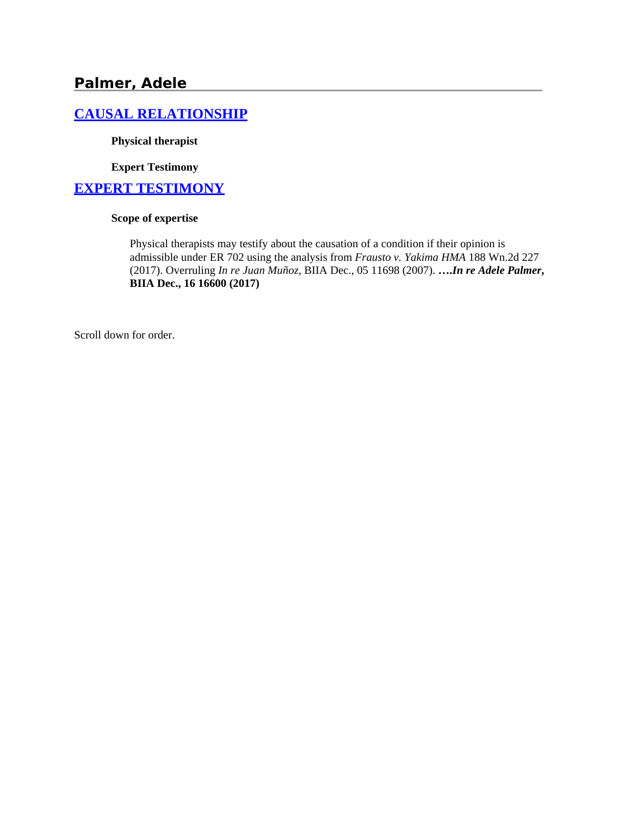# **Palmer, Adele**

## **[CAUSAL RELATIONSHIP](http://www.biia.wa.gov/SDSubjectIndex.html#CAUSAL_RELATIONSHIP)**

**Physical therapist**

**Expert Testimony**

#### **[EXPERT TESTIMONY](http://www.biia.wa.gov/SDSubjectIndex.html#EXPERT_TESTIMONY)**

#### **Scope of expertise**

Physical therapists may testify about the causation of a condition if their opinion is admissible under ER 702 using the analysis from *Frausto v. Yakima HMA* 188 Wn.2d 227 (2017). Overruling *In re Juan Muñoz,* BIIA Dec., 05 11698 (2007). **….***In re Adele Palmer***, BIIA Dec., 16 16600 (2017)**

Scroll down for order.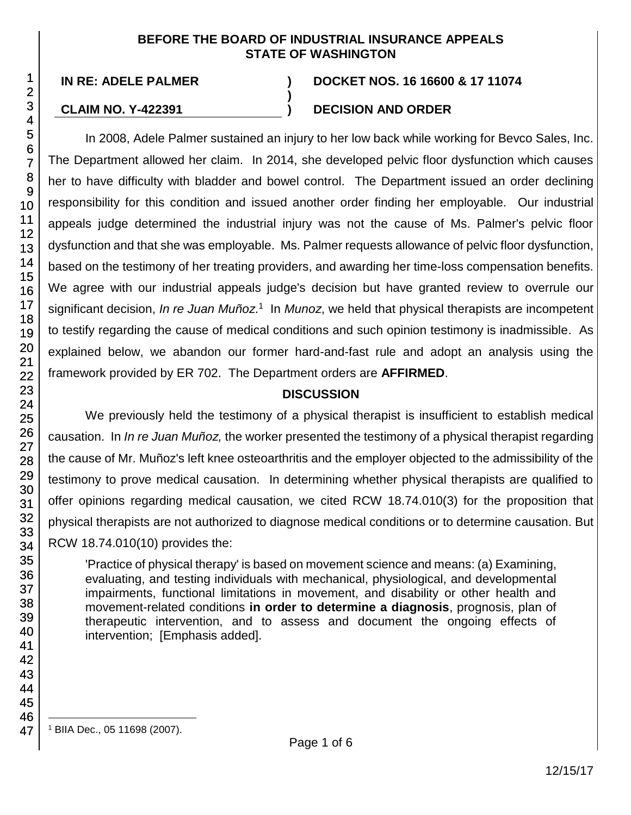#### **BEFORE THE BOARD OF INDUSTRIAL INSURANCE APPEALS STATE OF WASHINGTON**

**)**

#### **IN RE: ADELE PALMER ) DOCKET NOS. 16 16600 & 17 11074**

# **CLAIM NO. Y-422391 ) DECISION AND ORDER**

In 2008, Adele Palmer sustained an injury to her low back while working for Bevco Sales, Inc. The Department allowed her claim. In 2014, she developed pelvic floor dysfunction which causes her to have difficulty with bladder and bowel control. The Department issued an order declining responsibility for this condition and issued another order finding her employable. Our industrial appeals judge determined the industrial injury was not the cause of Ms. Palmer's pelvic floor dysfunction and that she was employable. Ms. Palmer requests allowance of pelvic floor dysfunction, based on the testimony of her treating providers, and awarding her time-loss compensation benefits. We agree with our industrial appeals judge's decision but have granted review to overrule our significant decision, *In re Juan Muñoz*. 1 In *Munoz*, we held that physical therapists are incompetent to testify regarding the cause of medical conditions and such opinion testimony is inadmissible. As explained below, we abandon our former hard-and-fast rule and adopt an analysis using the framework provided by ER 702. The Department orders are **AFFIRMED**.

# **DISCUSSION**

We previously held the testimony of a physical therapist is insufficient to establish medical causation. In *In re Juan Muñoz,* the worker presented the testimony of a physical therapist regarding the cause of Mr. Muñoz's left knee osteoarthritis and the employer objected to the admissibility of the testimony to prove medical causation. In determining whether physical therapists are qualified to offer opinions regarding medical causation, we cited RCW 18.74.010(3) for the proposition that physical therapists are not authorized to diagnose medical conditions or to determine causation. But RCW 18.74.010(10) provides the:

'Practice of physical therapy' is based on movement science and means: (a) Examining, evaluating, and testing individuals with mechanical, physiological, and developmental impairments, functional limitations in movement, and disability or other health and movement-related conditions **in order to determine a diagnosis**, prognosis, plan of therapeutic intervention, and to assess and document the ongoing effects of intervention; [Emphasis added].

l <sup>1</sup> BIIA Dec., 05 11698 (2007).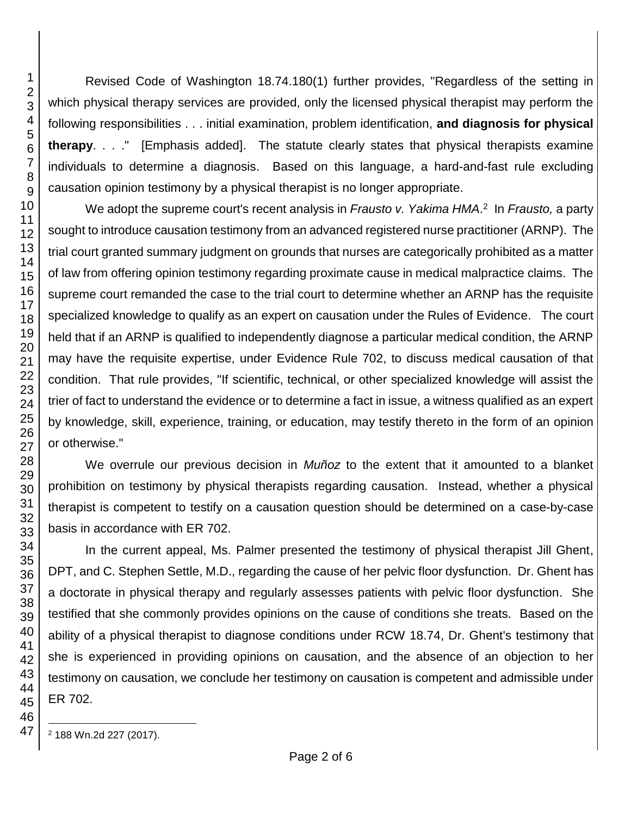Revised Code of Washington 18.74.180(1) further provides, "Regardless of the setting in which physical therapy services are provided, only the licensed physical therapist may perform the following responsibilities . . . initial examination, problem identification, **and diagnosis for physical therapy**. . . ." [Emphasis added]. The statute clearly states that physical therapists examine individuals to determine a diagnosis. Based on this language, a hard-and-fast rule excluding causation opinion testimony by a physical therapist is no longer appropriate.

We adopt the supreme court's recent analysis in *Frausto v. Yakima HMA*.<sup>2</sup> In *Frausto*, a party sought to introduce causation testimony from an advanced registered nurse practitioner (ARNP). The trial court granted summary judgment on grounds that nurses are categorically prohibited as a matter of law from offering opinion testimony regarding proximate cause in medical malpractice claims. The supreme court remanded the case to the trial court to determine whether an ARNP has the requisite specialized knowledge to qualify as an expert on causation under the Rules of Evidence. The court held that if an ARNP is qualified to independently diagnose a particular medical condition, the ARNP may have the requisite expertise, under Evidence Rule 702, to discuss medical causation of that condition. That rule provides, "If scientific, technical, or other specialized knowledge will assist the trier of fact to understand the evidence or to determine a fact in issue, a witness qualified as an expert by knowledge, skill, experience, training, or education, may testify thereto in the form of an opinion or otherwise."

We overrule our previous decision in *Muñoz* to the extent that it amounted to a blanket prohibition on testimony by physical therapists regarding causation. Instead, whether a physical therapist is competent to testify on a causation question should be determined on a case-by-case basis in accordance with ER 702.

In the current appeal, Ms. Palmer presented the testimony of physical therapist Jill Ghent, DPT, and C. Stephen Settle, M.D., regarding the cause of her pelvic floor dysfunction. Dr. Ghent has a doctorate in physical therapy and regularly assesses patients with pelvic floor dysfunction. She testified that she commonly provides opinions on the cause of conditions she treats. Based on the ability of a physical therapist to diagnose conditions under RCW 18.74, Dr. Ghent's testimony that she is experienced in providing opinions on causation, and the absence of an objection to her testimony on causation, we conclude her testimony on causation is competent and admissible under ER 702.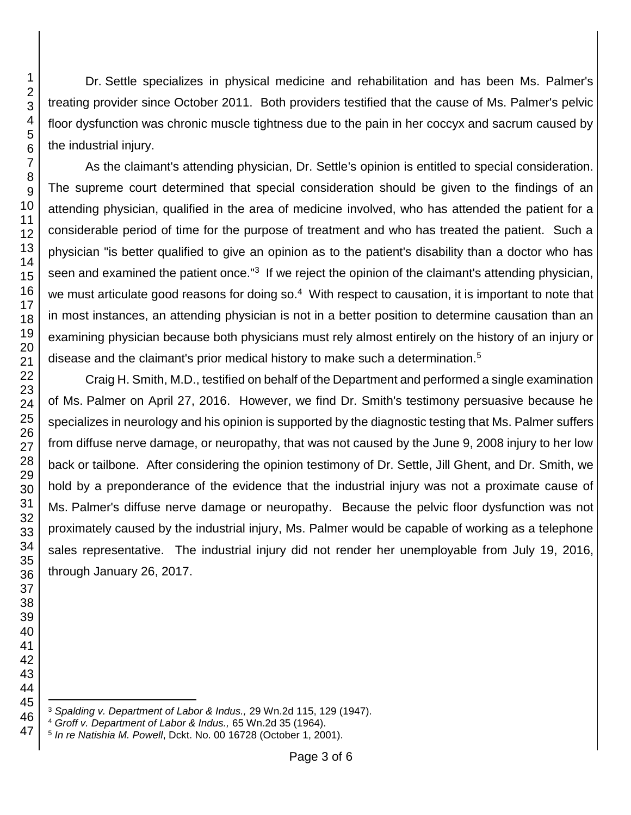Dr. Settle specializes in physical medicine and rehabilitation and has been Ms. Palmer's treating provider since October 2011. Both providers testified that the cause of Ms. Palmer's pelvic floor dysfunction was chronic muscle tightness due to the pain in her coccyx and sacrum caused by the industrial injury.

As the claimant's attending physician, Dr. Settle's opinion is entitled to special consideration. The supreme court determined that special consideration should be given to the findings of an attending physician, qualified in the area of medicine involved, who has attended the patient for a considerable period of time for the purpose of treatment and who has treated the patient. Such a physician "is better qualified to give an opinion as to the patient's disability than a doctor who has seen and examined the patient once."<sup>3</sup> If we reject the opinion of the claimant's attending physician, we must articulate good reasons for doing so.<sup>4</sup> With respect to causation, it is important to note that in most instances, an attending physician is not in a better position to determine causation than an examining physician because both physicians must rely almost entirely on the history of an injury or disease and the claimant's prior medical history to make such a determination.<sup>5</sup>

Craig H. Smith, M.D., testified on behalf of the Department and performed a single examination of Ms. Palmer on April 27, 2016. However, we find Dr. Smith's testimony persuasive because he specializes in neurology and his opinion is supported by the diagnostic testing that Ms. Palmer suffers from diffuse nerve damage, or neuropathy, that was not caused by the June 9, 2008 injury to her low back or tailbone. After considering the opinion testimony of Dr. Settle, Jill Ghent, and Dr. Smith, we hold by a preponderance of the evidence that the industrial injury was not a proximate cause of Ms. Palmer's diffuse nerve damage or neuropathy. Because the pelvic floor dysfunction was not proximately caused by the industrial injury, Ms. Palmer would be capable of working as a telephone sales representative. The industrial injury did not render her unemployable from July 19, 2016, through January 26, 2017.

l *Spalding v. Department of Labor & Indus.,* 29 Wn.2d 115, 129 (1947).

*Groff v. Department of Labor & Indus.,* 65 Wn.2d 35 (1964).

*In re Natishia M. Powell*, Dckt. No. 00 16728 (October 1, 2001).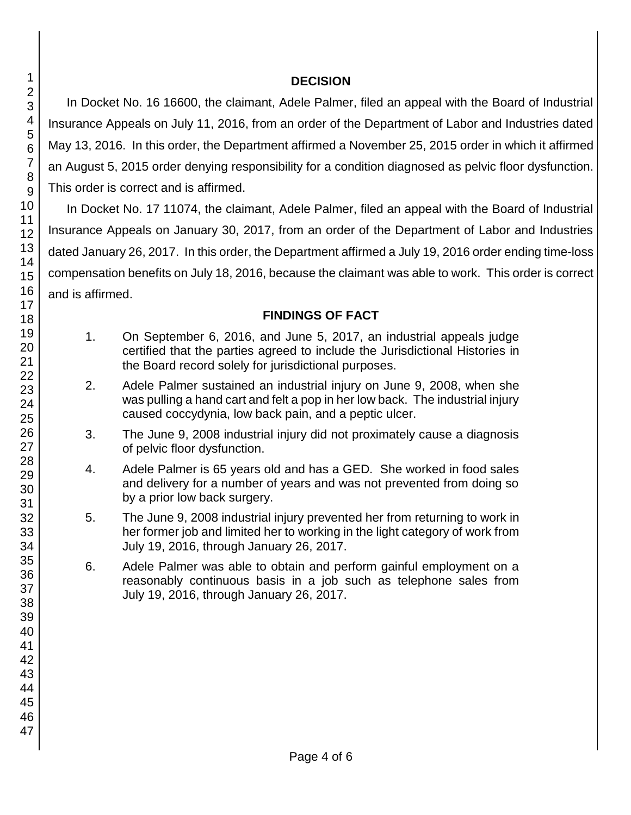#### **DECISION**

In Docket No. 16 16600, the claimant, Adele Palmer, filed an appeal with the Board of Industrial Insurance Appeals on July 11, 2016, from an order of the Department of Labor and Industries dated May 13, 2016. In this order, the Department affirmed a November 25, 2015 order in which it affirmed an August 5, 2015 order denying responsibility for a condition diagnosed as pelvic floor dysfunction. This order is correct and is affirmed.

In Docket No. 17 11074, the claimant, Adele Palmer, filed an appeal with the Board of Industrial Insurance Appeals on January 30, 2017, from an order of the Department of Labor and Industries dated January 26, 2017. In this order, the Department affirmed a July 19, 2016 order ending time-loss compensation benefits on July 18, 2016, because the claimant was able to work. This order is correct and is affirmed.

## **FINDINGS OF FACT**

- 1. On September 6, 2016, and June 5, 2017, an industrial appeals judge certified that the parties agreed to include the Jurisdictional Histories in the Board record solely for jurisdictional purposes.
- 2. Adele Palmer sustained an industrial injury on June 9, 2008, when she was pulling a hand cart and felt a pop in her low back. The industrial injury caused coccydynia, low back pain, and a peptic ulcer.
- 3. The June 9, 2008 industrial injury did not proximately cause a diagnosis of pelvic floor dysfunction.
- 4. Adele Palmer is 65 years old and has a GED. She worked in food sales and delivery for a number of years and was not prevented from doing so by a prior low back surgery.
- 5. The June 9, 2008 industrial injury prevented her from returning to work in her former job and limited her to working in the light category of work from July 19, 2016, through January 26, 2017.
- 6. Adele Palmer was able to obtain and perform gainful employment on a reasonably continuous basis in a job such as telephone sales from July 19, 2016, through January 26, 2017.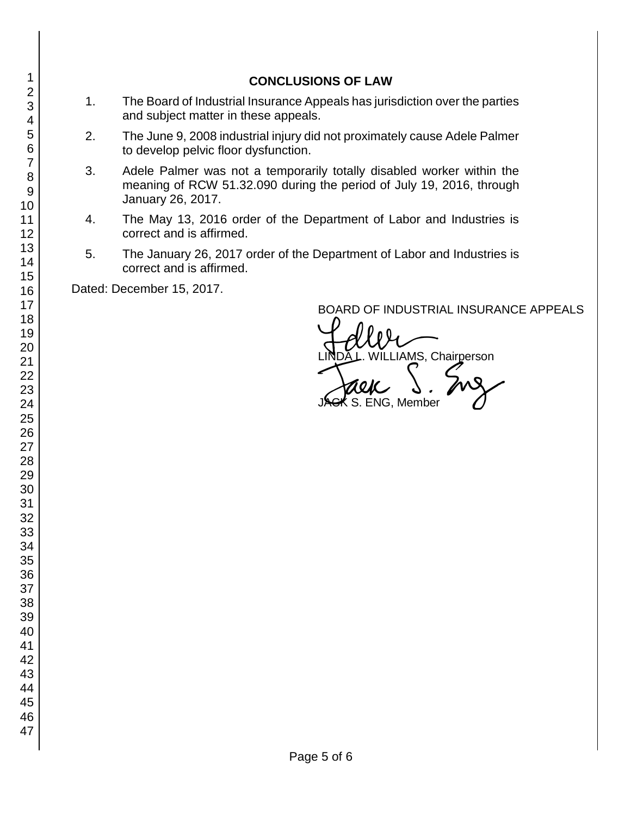#### **CONCLUSIONS OF LAW**

- 1. The Board of Industrial Insurance Appeals has jurisdiction over the parties and subject matter in these appeals.
- 2. The June 9, 2008 industrial injury did not proximately cause Adele Palmer to develop pelvic floor dysfunction.
- 3. Adele Palmer was not a temporarily totally disabled worker within the meaning of RCW 51.32.090 during the period of July 19, 2016, through January 26, 2017.
- 4. The May 13, 2016 order of the Department of Labor and Industries is correct and is affirmed.
- 5. The January 26, 2017 order of the Department of Labor and Industries is correct and is affirmed.

Dated: December 15, 2017.

BOARD OF INDUSTRIAL INSURANCE APPEALS

BOARD OF INDUSTRIAL INSURAM<br>LINDA L. WILLIAMS, Chairperson<br>JAGK S. ENG, Member . ENG, Member